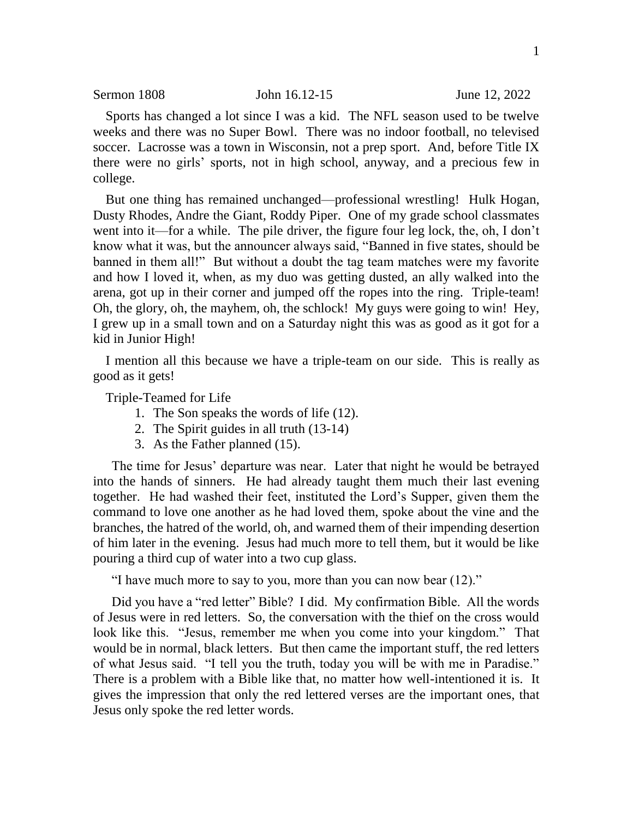Sports has changed a lot since I was a kid. The NFL season used to be twelve weeks and there was no Super Bowl. There was no indoor football, no televised soccer. Lacrosse was a town in Wisconsin, not a prep sport. And, before Title IX there were no girls' sports, not in high school, anyway, and a precious few in college.

But one thing has remained unchanged—professional wrestling! Hulk Hogan, Dusty Rhodes, Andre the Giant, Roddy Piper. One of my grade school classmates went into it—for a while. The pile driver, the figure four leg lock, the, oh, I don't know what it was, but the announcer always said, "Banned in five states, should be banned in them all!" But without a doubt the tag team matches were my favorite and how I loved it, when, as my duo was getting dusted, an ally walked into the arena, got up in their corner and jumped off the ropes into the ring. Triple-team! Oh, the glory, oh, the mayhem, oh, the schlock! My guys were going to win! Hey, I grew up in a small town and on a Saturday night this was as good as it got for a kid in Junior High!

I mention all this because we have a triple-team on our side. This is really as good as it gets!

Triple-Teamed for Life

- 1. The Son speaks the words of life (12).
- 2. The Spirit guides in all truth (13-14)
- 3. As the Father planned (15).

The time for Jesus' departure was near. Later that night he would be betrayed into the hands of sinners. He had already taught them much their last evening together. He had washed their feet, instituted the Lord's Supper, given them the command to love one another as he had loved them, spoke about the vine and the branches, the hatred of the world, oh, and warned them of their impending desertion of him later in the evening. Jesus had much more to tell them, but it would be like pouring a third cup of water into a two cup glass.

"I have much more to say to you, more than you can now bear (12)."

Did you have a "red letter" Bible? I did. My confirmation Bible. All the words of Jesus were in red letters. So, the conversation with the thief on the cross would look like this. "Jesus, remember me when you come into your kingdom." That would be in normal, black letters. But then came the important stuff, the red letters of what Jesus said. "I tell you the truth, today you will be with me in Paradise." There is a problem with a Bible like that, no matter how well-intentioned it is. It gives the impression that only the red lettered verses are the important ones, that Jesus only spoke the red letter words.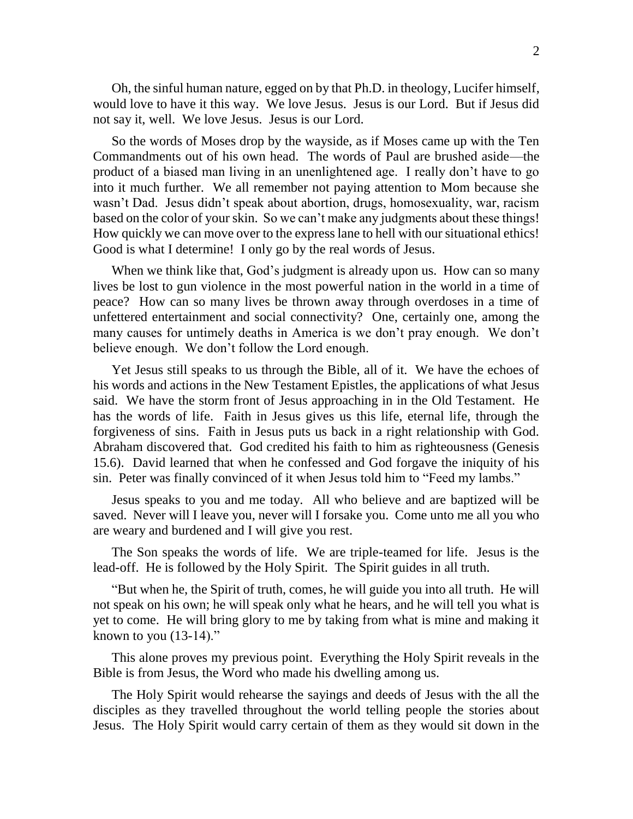Oh, the sinful human nature, egged on by that Ph.D. in theology, Lucifer himself, would love to have it this way. We love Jesus. Jesus is our Lord. But if Jesus did not say it, well. We love Jesus. Jesus is our Lord.

So the words of Moses drop by the wayside, as if Moses came up with the Ten Commandments out of his own head. The words of Paul are brushed aside—the product of a biased man living in an unenlightened age. I really don't have to go into it much further. We all remember not paying attention to Mom because she wasn't Dad. Jesus didn't speak about abortion, drugs, homosexuality, war, racism based on the color of your skin. So we can't make any judgments about these things! How quickly we can move over to the express lane to hell with our situational ethics! Good is what I determine! I only go by the real words of Jesus.

When we think like that, God's judgment is already upon us. How can so many lives be lost to gun violence in the most powerful nation in the world in a time of peace? How can so many lives be thrown away through overdoses in a time of unfettered entertainment and social connectivity? One, certainly one, among the many causes for untimely deaths in America is we don't pray enough. We don't believe enough. We don't follow the Lord enough.

Yet Jesus still speaks to us through the Bible, all of it. We have the echoes of his words and actions in the New Testament Epistles, the applications of what Jesus said. We have the storm front of Jesus approaching in in the Old Testament. He has the words of life. Faith in Jesus gives us this life, eternal life, through the forgiveness of sins. Faith in Jesus puts us back in a right relationship with God. Abraham discovered that. God credited his faith to him as righteousness (Genesis 15.6). David learned that when he confessed and God forgave the iniquity of his sin. Peter was finally convinced of it when Jesus told him to "Feed my lambs."

Jesus speaks to you and me today. All who believe and are baptized will be saved. Never will I leave you, never will I forsake you. Come unto me all you who are weary and burdened and I will give you rest.

The Son speaks the words of life. We are triple-teamed for life. Jesus is the lead-off. He is followed by the Holy Spirit. The Spirit guides in all truth.

"But when he, the Spirit of truth, comes, he will guide you into all truth. He will not speak on his own; he will speak only what he hears, and he will tell you what is yet to come. He will bring glory to me by taking from what is mine and making it known to you  $(13-14)$ ."

This alone proves my previous point. Everything the Holy Spirit reveals in the Bible is from Jesus, the Word who made his dwelling among us.

The Holy Spirit would rehearse the sayings and deeds of Jesus with the all the disciples as they travelled throughout the world telling people the stories about Jesus. The Holy Spirit would carry certain of them as they would sit down in the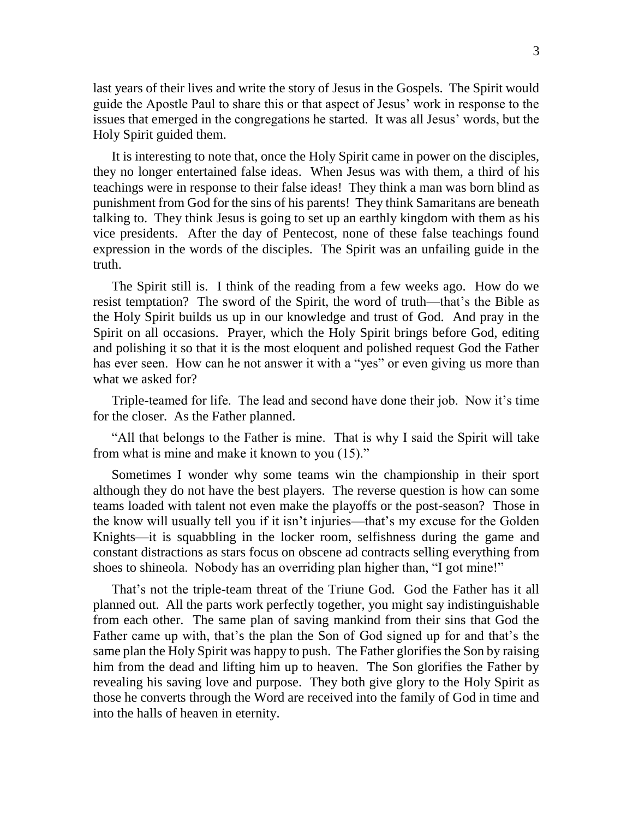last years of their lives and write the story of Jesus in the Gospels. The Spirit would guide the Apostle Paul to share this or that aspect of Jesus' work in response to the issues that emerged in the congregations he started. It was all Jesus' words, but the Holy Spirit guided them.

It is interesting to note that, once the Holy Spirit came in power on the disciples, they no longer entertained false ideas. When Jesus was with them, a third of his teachings were in response to their false ideas! They think a man was born blind as punishment from God for the sins of his parents! They think Samaritans are beneath talking to. They think Jesus is going to set up an earthly kingdom with them as his vice presidents. After the day of Pentecost, none of these false teachings found expression in the words of the disciples. The Spirit was an unfailing guide in the truth.

The Spirit still is. I think of the reading from a few weeks ago. How do we resist temptation? The sword of the Spirit, the word of truth—that's the Bible as the Holy Spirit builds us up in our knowledge and trust of God. And pray in the Spirit on all occasions. Prayer, which the Holy Spirit brings before God, editing and polishing it so that it is the most eloquent and polished request God the Father has ever seen. How can he not answer it with a "yes" or even giving us more than what we asked for?

Triple-teamed for life. The lead and second have done their job. Now it's time for the closer. As the Father planned.

"All that belongs to the Father is mine. That is why I said the Spirit will take from what is mine and make it known to you (15)."

Sometimes I wonder why some teams win the championship in their sport although they do not have the best players. The reverse question is how can some teams loaded with talent not even make the playoffs or the post-season? Those in the know will usually tell you if it isn't injuries—that's my excuse for the Golden Knights—it is squabbling in the locker room, selfishness during the game and constant distractions as stars focus on obscene ad contracts selling everything from shoes to shineola. Nobody has an overriding plan higher than, "I got mine!"

That's not the triple-team threat of the Triune God. God the Father has it all planned out. All the parts work perfectly together, you might say indistinguishable from each other. The same plan of saving mankind from their sins that God the Father came up with, that's the plan the Son of God signed up for and that's the same plan the Holy Spirit was happy to push. The Father glorifies the Son by raising him from the dead and lifting him up to heaven. The Son glorifies the Father by revealing his saving love and purpose. They both give glory to the Holy Spirit as those he converts through the Word are received into the family of God in time and into the halls of heaven in eternity.